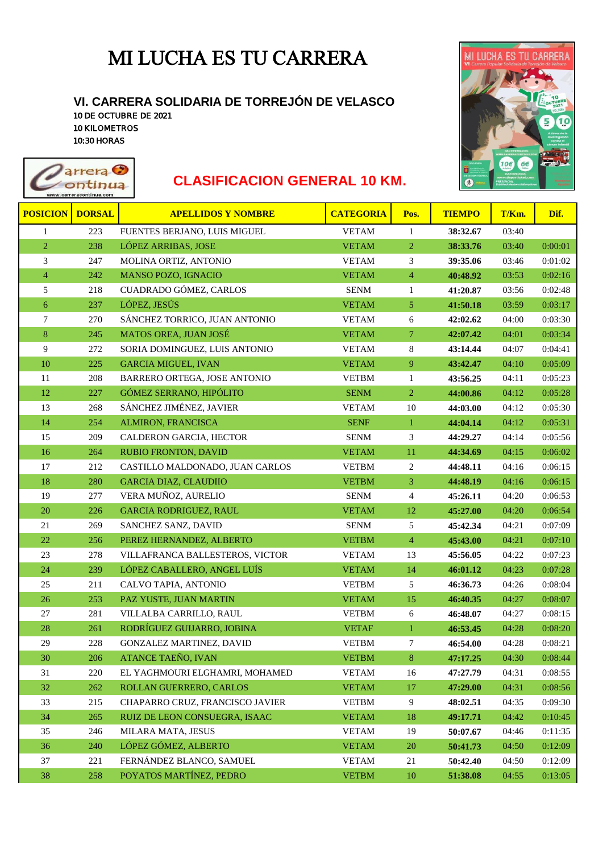## MI LUCHA ES TU CARRERA

## **VI. CARRERA SOLIDARIA DE TORREJÓN DE VELASCO**

10 DE OCTUBRE DE 2021 10 KILOMETROS 10:30 HORAS

rreracontinua.con



## **arrera C**<br> **CLASIFICACION GENERAL 10 KM.**

| <b>POSICION</b>  | <b>DORSAL</b> | <b>APELLIDOS Y NOMBRE</b>       | <b>CATEGORIA</b> | Pos.           | <b>TIEMPO</b> | T/Km. | Dif.    |
|------------------|---------------|---------------------------------|------------------|----------------|---------------|-------|---------|
| $\mathbf{1}$     | 223           | FUENTES BERJANO, LUIS MIGUEL    | <b>VETAM</b>     | $\mathbf{1}$   | 38:32.67      | 03:40 |         |
| $\overline{2}$   | 238           | LÓPEZ ARRIBAS, JOSE             | <b>VETAM</b>     | $\overline{2}$ | 38:33.76      | 03:40 | 0:00:01 |
| 3                | 247           | MOLINA ORTIZ, ANTONIO           | <b>VETAM</b>     | 3              | 39:35.06      | 03:46 | 0:01:02 |
| $\overline{4}$   | 242           | MANSO POZO, IGNACIO             | <b>VETAM</b>     | $\overline{4}$ | 40:48.92      | 03:53 | 0:02:16 |
| 5                | 218           | CUADRADO GÓMEZ, CARLOS          | <b>SENM</b>      | $\mathbf{1}$   | 41:20.87      | 03:56 | 0:02:48 |
| $\boldsymbol{6}$ | 237           | LÓPEZ, JESÚS                    | <b>VETAM</b>     | 5              | 41:50.18      | 03:59 | 0:03:17 |
| 7                | 270           | SÁNCHEZ TORRICO, JUAN ANTONIO   | <b>VETAM</b>     | $6\,$          | 42:02.62      | 04:00 | 0:03:30 |
| $\bf 8$          | 245           | MATOS OREA, JUAN JOSÉ           | <b>VETAM</b>     | $\overline{7}$ | 42:07.42      | 04:01 | 0:03:34 |
| 9                | 272           | SORIA DOMINGUEZ, LUIS ANTONIO   | <b>VETAM</b>     | 8              | 43:14.44      | 04:07 | 0:04:41 |
| 10               | 225           | <b>GARCIA MIGUEL, IVAN</b>      | <b>VETAM</b>     | $\overline{9}$ | 43:42.47      | 04:10 | 0:05:09 |
| 11               | 208           | BARRERO ORTEGA, JOSE ANTONIO    | <b>VETBM</b>     | $\mathbf{1}$   | 43:56.25      | 04:11 | 0:05:23 |
| $12\,$           | 227           | GÓMEZ SERRANO, HIPÓLITO         | <b>SENM</b>      | $\overline{2}$ | 44:00.86      | 04:12 | 0:05:28 |
| 13               | 268           | SÁNCHEZ JIMÉNEZ, JAVIER         | <b>VETAM</b>     | $10\,$         | 44:03.00      | 04:12 | 0:05:30 |
| 14               | 254           | ALMIRON, FRANCISCA              | <b>SENF</b>      | $\mathbf{1}$   | 44:04.14      | 04:12 | 0:05:31 |
| 15               | 209           | CALDERON GARCIA, HECTOR         | <b>SENM</b>      | 3              | 44:29.27      | 04:14 | 0:05:56 |
| 16               | 264           | <b>RUBIO FRONTON, DAVID</b>     | <b>VETAM</b>     | 11             | 44:34.69      | 04:15 | 0:06:02 |
| 17               | 212           | CASTILLO MALDONADO, JUAN CARLOS | <b>VETBM</b>     | 2              | 44:48.11      | 04:16 | 0:06:15 |
| $18\,$           | 280           | <b>GARCIA DIAZ, CLAUDIIO</b>    | <b>VETBM</b>     | $\overline{3}$ | 44:48.19      | 04:16 | 0:06:15 |
| 19               | 277           | VERA MUÑOZ, AURELIO             | <b>SENM</b>      | $\overline{4}$ | 45:26.11      | 04:20 | 0:06:53 |
| 20               | 226           | <b>GARCIA RODRIGUEZ, RAUL</b>   | <b>VETAM</b>     | 12             | 45:27.00      | 04:20 | 0:06:54 |
| 21               | 269           | SANCHEZ SANZ, DAVID             | <b>SENM</b>      | 5              | 45:42.34      | 04:21 | 0:07:09 |
| 22               | 256           | PEREZ HERNANDEZ, ALBERTO        | <b>VETBM</b>     | $\overline{4}$ | 45:43.00      | 04:21 | 0:07:10 |
| 23               | 278           | VILLAFRANCA BALLESTEROS, VICTOR | <b>VETAM</b>     | 13             | 45:56.05      | 04:22 | 0:07:23 |
| 24               | 239           | LÓPEZ CABALLERO, ANGEL LUÍS     | <b>VETAM</b>     | 14             | 46:01.12      | 04:23 | 0:07:28 |
| 25               | 211           | CALVO TAPIA, ANTONIO            | <b>VETBM</b>     | 5              | 46:36.73      | 04:26 | 0:08:04 |
| 26               | 253           | PAZ YUSTE, JUAN MARTIN          | <b>VETAM</b>     | 15             | 46:40.35      | 04:27 | 0:08:07 |
| 27               | 281           | VILLALBA CARRILLO, RAUL         | <b>VETBM</b>     | 6              | 46:48.07      | 04:27 | 0:08:15 |
| 28               | 261           | RODRÍGUEZ GUIJARRO, JOBINA      | <b>VETAF</b>     | $\mathbf{1}$   | 46:53.45      | 04:28 | 0:08:20 |
| 29               | 228           | GONZALEZ MARTINEZ, DAVID        | <b>VETBM</b>     | $\tau$         | 46:54.00      | 04:28 | 0:08:21 |
| 30               | 206           | ATANCE TAEÑO, IVAN              | <b>VETBM</b>     | $\bf 8$        | 47:17.25      | 04:30 | 0:08:44 |
| 31               | 220           | EL YAGHMOURI ELGHAMRI, MOHAMED  | <b>VETAM</b>     | 16             | 47:27.79      | 04:31 | 0:08:55 |
| 32               | 262           | ROLLAN GUERRERO, CARLOS         | <b>VETAM</b>     | 17             | 47:29.00      | 04:31 | 0:08:56 |
| 33               | 215           | CHAPARRO CRUZ, FRANCISCO JAVIER | <b>VETBM</b>     | 9              | 48:02.51      | 04:35 | 0:09:30 |
| 34               | 265           | RUIZ DE LEON CONSUEGRA, ISAAC   | <b>VETAM</b>     | $18\,$         | 49:17.71      | 04:42 | 0:10:45 |
| 35               | 246           | MILARA MATA, JESUS              | <b>VETAM</b>     | 19             | 50:07.67      | 04:46 | 0:11:35 |
| 36               | 240           | LÓPEZ GÓMEZ, ALBERTO            | <b>VETAM</b>     | 20             | 50:41.73      | 04:50 | 0:12:09 |
| 37               | 221           | FERNÁNDEZ BLANCO, SAMUEL        | <b>VETAM</b>     | 21             | 50:42.40      | 04:50 | 0:12:09 |
| 38               | 258           | POYATOS MARTÍNEZ, PEDRO         | <b>VETBM</b>     | $10\,$         | 51:38.08      | 04:55 | 0:13:05 |